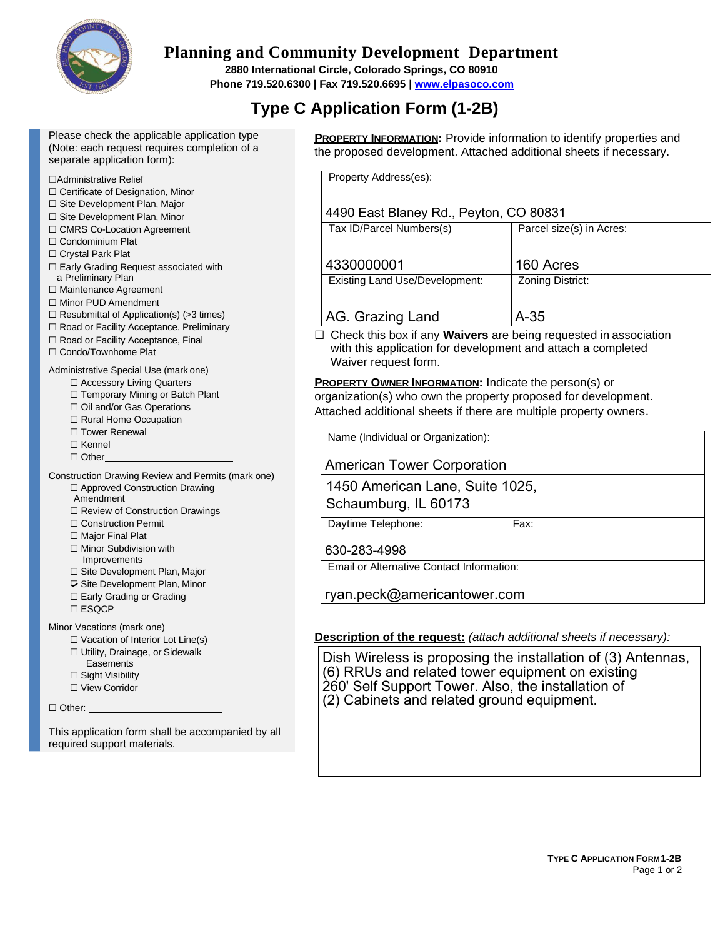

## **Planning and Community Development Department**

**2880 International Circle, Colorado Springs, CO 80910 Phone 719.520.6300 | Fax 719.520.6695 | [www.elpasoco.com](http://www.elpasoco.com/)**

# **Type C Application Form (1-2B)**

Please check the applicable application type (Note: each request requires completion of a separate application form):

#### ☐Administrative Relief

- ☐ Certificate of Designation, Minor
- ☐ Site Development Plan, Major
- ☐ Site Development Plan, Minor
- ☐ CMRS Co-Location Agreement
- □ Condominium Plat
- ☐ Crystal Park Plat
- ☐ Early Grading Request associated with a Preliminary Plan
- ☐ Maintenance Agreement
- ☐ Minor PUD Amendment
- $\Box$  Resubmittal of Application(s) (>3 times)
- ☐ Road or Facility Acceptance, Preliminary
- ☐ Road or Facility Acceptance, Final
- ☐ Condo/Townhome Plat

#### Administrative Special Use (mark one)

- ☐ Accessory Living Quarters
- ☐ Temporary Mining or Batch Plant ☐ Oil and/or Gas Operations
- 
- ☐ Rural Home Occupation
- □ Tower Renewal
- ☐ Kennel
- ☐ Other
- Construction Drawing Review and Permits (mark one) ☐ Approved Construction Drawing
	- Amendment
	- ☐ Review of Construction Drawings
	- ☐ Construction Permit
	- □ Major Final Plat
	- ☐ Minor Subdivision with Improvements
	- ☐ Site Development Plan, Major
	- **□** Site Development Plan, Minor
	- ☐ Early Grading or Grading
	- ☐ ESQCP

Minor Vacations (mark one)

- $\Box$  Vacation of Interior Lot Line(s)
- ☐ Utility, Drainage, or Sidewalk
- **Easements**
- ☐ Sight Visibility
- ☐ View Corridor

□ Other:

This application form shall be accompanied by all required support materials.

**PROPERTY INFORMATION:** Provide information to identify properties and the proposed development. Attached additional sheets if necessary.

| Property Address(es):                  |                          |  |
|----------------------------------------|--------------------------|--|
|                                        |                          |  |
|                                        |                          |  |
| 4490 East Blaney Rd., Peyton, CO 80831 |                          |  |
|                                        |                          |  |
| Tax ID/Parcel Numbers(s)               | Parcel size(s) in Acres: |  |
|                                        |                          |  |
|                                        |                          |  |
| 4330000001                             | 160 Acres                |  |
| <b>Existing Land Use/Development:</b>  | Zoning District:         |  |
|                                        |                          |  |
|                                        |                          |  |
| AG. Grazing Land                       | A-35                     |  |
|                                        |                          |  |

☐ Check this box if any **Waivers** are being requested in association with this application for development and attach a completed Waiver request form.

**PROPERTY OWNER INFORMATION:** Indicate the person(s) or organization(s) who own the property proposed for development. Attached additional sheets if there are multiple property owners.

Name (Individual or Organization):

American Tower Corporation

1450 American Lane, Suite 1025, Schaumburg, IL 60173

Daytime Telephone: Fax:

Email or Alternative Contact Information:

ryan.peck@americantower.com

### **Description of the request:** *(attach additional sheets if necessary):*

Dish Wireless is proposing the installation of (3) Antennas, (6) RRUs and related tower equipment on existing 260' Self Support Tower. Also, the installation of (2) Cabinets and related ground equipment.

630-283-4998